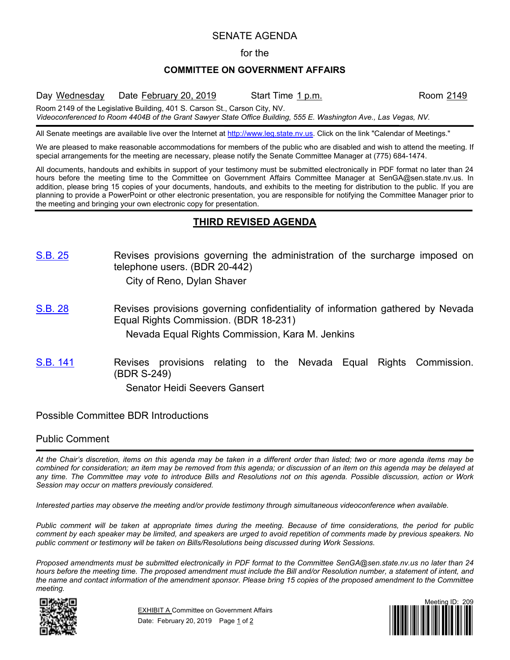## SENATE AGENDA

#### for the

#### **COMMITTEE ON GOVERNMENT AFFAIRS**

Day Wednesday Date February 20, 2019 Start Time 1 p.m. Room 2149

Room 2149 of the Legislative Building, 401 S. Carson St., Carson City, NV. *Videoconferenced to Room 4404B of the Grant Sawyer State Office Building, 555 E. Washington Ave., Las Vegas, NV.*

All Senate meetings are available live over the Internet at [http://www.leg.state.nv.us.](http://www.leg.state.nv.us/) Click on the link "Calendar of Meetings."

We are pleased to make reasonable accommodations for members of the public who are disabled and wish to attend the meeting. If special arrangements for the meeting are necessary, please notify the Senate Committee Manager at (775) 684-1474.

All documents, handouts and exhibits in support of your testimony must be submitted electronically in PDF format no later than 24 hours before the meeting time to the Committee on Government Affairs Committee Manager at SenGA@sen.state.nv.us. In addition, please bring 15 copies of your documents, handouts, and exhibits to the meeting for distribution to the public. If you are planning to provide a PowerPoint or other electronic presentation, you are responsible for notifying the Committee Manager prior to the meeting and bringing your own electronic copy for presentation.

# **THIRD REVISED AGENDA**

[S.B.](https://www.leg.state.nv.us/App/NELIS/REL/80th2019/Bill/5908/Overview/) 25 Revises provisions governing the administration of the surcharge imposed on telephone users. (BDR 20-442)

City of Reno, Dylan Shaver

- [S.B.](https://www.leg.state.nv.us/App/NELIS/REL/80th2019/Bill/5911/Overview/) 28 Revises provisions governing confidentiality of information gathered by Nevada Equal Rights Commission. (BDR 18-231) Nevada Equal Rights Commission, Kara M. Jenkins
- [S.B.](https://www.leg.state.nv.us/App/NELIS/REL/80th2019/Bill/6172/Overview/) 141 Revises provisions relating to the Nevada Equal Rights Commission. (BDR S-249) Senator Heidi Seevers Gansert

Possible Committee BDR Introductions

### Public Comment

*At the Chair's discretion, items on this agenda may be taken in a different order than listed; two or more agenda items may be combined for consideration; an item may be removed from this agenda; or discussion of an item on this agenda may be delayed at any time. The Committee may vote to introduce Bills and Resolutions not on this agenda. Possible discussion, action or Work Session may occur on matters previously considered.*

*Interested parties may observe the meeting and/or provide testimony through simultaneous videoconference when available.*

*Public comment will be taken at appropriate times during the meeting. Because of time considerations, the period for public comment by each speaker may be limited, and speakers are urged to avoid repetition of comments made by previous speakers. No public comment or testimony will be taken on Bills/Resolutions being discussed during Work Sessions.*

*Proposed amendments must be submitted electronically in PDF format to the Committee SenGA@sen.state.nv.us no later than 24 hours before the meeting time. The proposed amendment must include the Bill and/or Resolution number, a statement of intent, and the name and contact information of the amendment sponsor. Please bring 15 copies of the proposed amendment to the Committee meeting.*



**EXHIBIT A Committee on Government Affairs** Date: February 20, 2019 Page 1 of 2